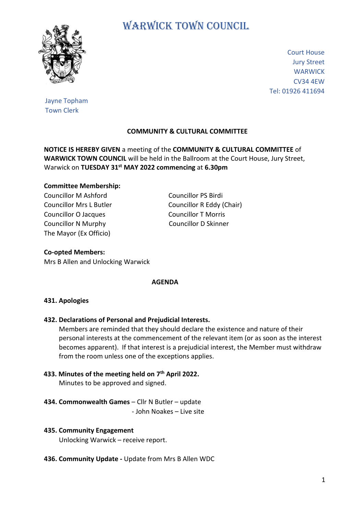

# WARWICK TOWN COUNCIL

Court House Jury Street **WARWICK** CV34 4EW Tel: 01926 411694

## Jayne Topham Town Clerk

# **COMMUNITY & CULTURAL COMMITTEE**

**NOTICE IS HEREBY GIVEN** a meeting of the **COMMUNITY & CULTURAL COMMITTEE** of **WARWICK TOWN COUNCIL** will be held in the Ballroom at the Court House, Jury Street, Warwick on **TUESDAY 31st MAY 2022 commencing** at **6.30pm**

## **Committee Membership:**

Councillor M Ashford Councillor PS Birdi Councillor O Jacques Councillor T Morris Councillor N Murphy Councillor D Skinner The Mayor (Ex Officio)

Councillor Mrs L Butler Councillor R Eddy (Chair)

**Co-opted Members:** Mrs B Allen and Unlocking Warwick

### **AGENDA**

## **431. Apologies**

**432. Declarations of Personal and Prejudicial Interests.**

 Members are reminded that they should declare the existence and nature of their personal interests at the commencement of the relevant item (or as soon as the interest becomes apparent). If that interest is a prejudicial interest, the Member must withdraw from the room unless one of the exceptions applies.

- **433. Minutes of the meeting held on 7 th April 2022.** Minutes to be approved and signed.
- **434. Commonwealth Games**  Cllr N Butler update - John Noakes – Live site

### **435. Community Engagement**

Unlocking Warwick – receive report.

**436. Community Update -** Update from Mrs B Allen WDC